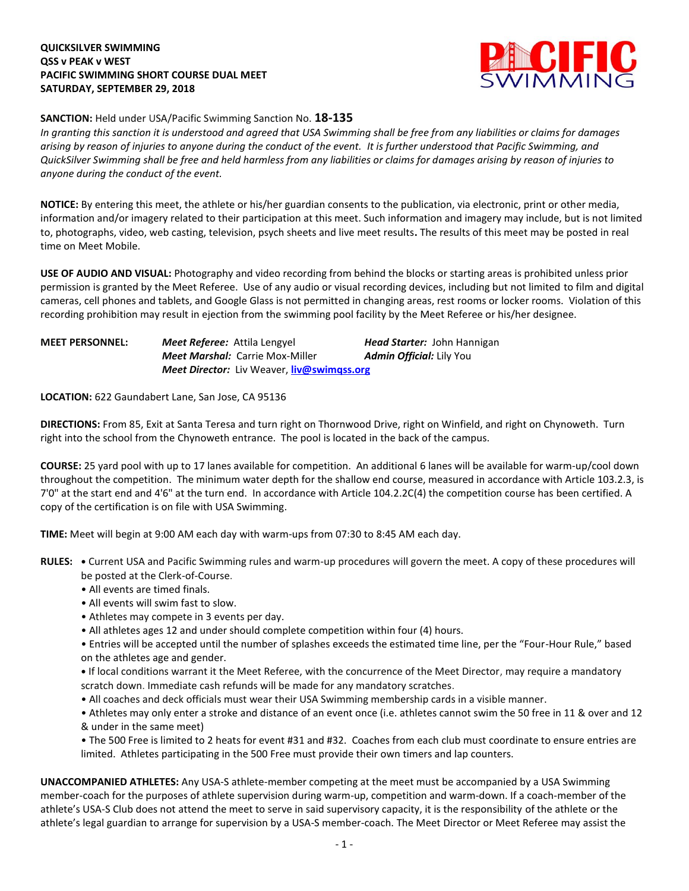## **QUICKSILVER SWIMMING QSS v PEAK v WEST PACIFIC SWIMMING SHORT COURSE DUAL MEET SATURDAY, SEPTEMBER 29, 2018**



## **SANCTION:** Held under USA/Pacific Swimming Sanction No. **18-135**

*In granting this sanction it is understood and agreed that USA Swimming shall be free from any liabilities or claims for damages arising by reason of injuries to anyone during the conduct of the event. It is further understood that Pacific Swimming, and QuickSilver Swimming shall be free and held harmless from any liabilities or claims for damages arising by reason of injuries to anyone during the conduct of the event.*

**NOTICE:** By entering this meet, the athlete or his/her guardian consents to the publication, via electronic, print or other media, information and/or imagery related to their participation at this meet. Such information and imagery may include, but is not limited to, photographs, video, web casting, television, psych sheets and live meet results**.** The results of this meet may be posted in real time on Meet Mobile.

**USE OF AUDIO AND VISUAL:** Photography and video recording from behind the blocks or starting areas is prohibited unless prior permission is granted by the Meet Referee. Use of any audio or visual recording devices, including but not limited to film and digital cameras, cell phones and tablets, and Google Glass is not permitted in changing areas, rest rooms or locker rooms. Violation of this recording prohibition may result in ejection from the swimming pool facility by the Meet Referee or his/her designee.

| <b>MEET PERSONNEL:</b> | <b>Meet Referee:</b> Attila Lengyel |                                                          | <b>Head Starter: John Hannigan</b> |
|------------------------|-------------------------------------|----------------------------------------------------------|------------------------------------|
|                        |                                     | <b>Meet Marshal: Carrie Mox-Miller</b>                   | <b>Admin Official:</b> Lily You    |
|                        |                                     | <b>Meet Director:</b> Liv Weaver, <b>liv@swimgss.org</b> |                                    |

**LOCATION:** 622 Gaundabert Lane, San Jose, CA 95136

**DIRECTIONS:** From 85, Exit at Santa Teresa and turn right on Thornwood Drive, right on Winfield, and right on Chynoweth. Turn right into the school from the Chynoweth entrance. The pool is located in the back of the campus.

**COURSE:** 25 yard pool with up to 17 lanes available for competition. An additional 6 lanes will be available for warm-up/cool down throughout the competition. The minimum water depth for the shallow end course, measured in accordance with Article 103.2.3, is 7'0" at the start end and 4'6" at the turn end. In accordance with Article 104.2.2C(4) the competition course has been certified. A copy of the certification is on file with USA Swimming.

**TIME:** Meet will begin at 9:00 AM each day with warm-ups from 07:30 to 8:45 AM each day.

- **RULES: •** Current USA and Pacific Swimming rules and warm-up procedures will govern the meet. A copy of these procedures will be posted at the Clerk-of-Course.
	- All events are timed finals.
	- All events will swim fast to slow.
	- Athletes may compete in 3 events per day.
	- All athletes ages 12 and under should complete competition within four (4) hours.

• Entries will be accepted until the number of splashes exceeds the estimated time line, per the "Four-Hour Rule," based on the athletes age and gender.

**•** If local conditions warrant it the Meet Referee, with the concurrence of the Meet Director, may require a mandatory scratch down. Immediate cash refunds will be made for any mandatory scratches.

• All coaches and deck officials must wear their USA Swimming membership cards in a visible manner.

• Athletes may only enter a stroke and distance of an event once (i.e. athletes cannot swim the 50 free in 11 & over and 12 & under in the same meet)

• The 500 Free is limited to 2 heats for event #31 and #32. Coaches from each club must coordinate to ensure entries are limited. Athletes participating in the 500 Free must provide their own timers and lap counters.

**UNACCOMPANIED ATHLETES:** Any USA-S athlete-member competing at the meet must be accompanied by a USA Swimming member-coach for the purposes of athlete supervision during warm-up, competition and warm-down. If a coach-member of the athlete's USA-S Club does not attend the meet to serve in said supervisory capacity, it is the responsibility of the athlete or the athlete's legal guardian to arrange for supervision by a USA-S member-coach. The Meet Director or Meet Referee may assist the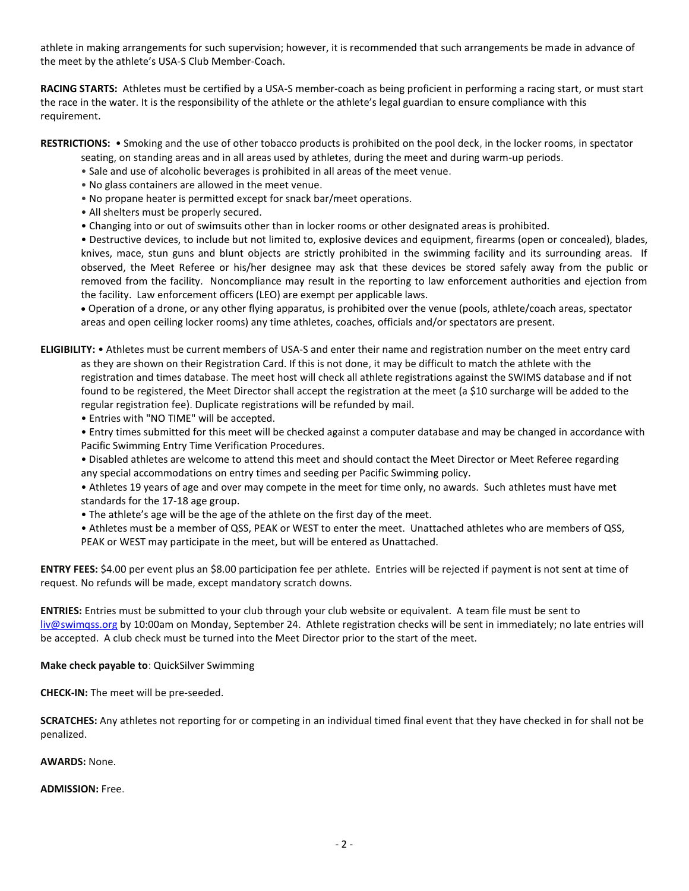athlete in making arrangements for such supervision; however, it is recommended that such arrangements be made in advance of the meet by the athlete's USA-S Club Member-Coach.

**RACING STARTS:** Athletes must be certified by a USA-S member-coach as being proficient in performing a racing start, or must start the race in the water. It is the responsibility of the athlete or the athlete's legal guardian to ensure compliance with this requirement.

**RESTRICTIONS:** • Smoking and the use of other tobacco products is prohibited on the pool deck, in the locker rooms, in spectator

seating, on standing areas and in all areas used by athletes, during the meet and during warm-up periods.

- Sale and use of alcoholic beverages is prohibited in all areas of the meet venue.
- No glass containers are allowed in the meet venue.
- No propane heater is permitted except for snack bar/meet operations.
- All shelters must be properly secured.
- Changing into or out of swimsuits other than in locker rooms or other designated areas is prohibited.

• Destructive devices, to include but not limited to, explosive devices and equipment, firearms (open or concealed), blades, knives, mace, stun guns and blunt objects are strictly prohibited in the swimming facility and its surrounding areas. If observed, the Meet Referee or his/her designee may ask that these devices be stored safely away from the public or removed from the facility. Noncompliance may result in the reporting to law enforcement authorities and ejection from the facility. Law enforcement officers (LEO) are exempt per applicable laws.

 Operation of a drone, or any other flying apparatus, is prohibited over the venue (pools, athlete/coach areas, spectator areas and open ceiling locker rooms) any time athletes, coaches, officials and/or spectators are present.

**ELIGIBILITY:** • Athletes must be current members of USA-S and enter their name and registration number on the meet entry card as they are shown on their Registration Card. If this is not done, it may be difficult to match the athlete with the registration and times database. The meet host will check all athlete registrations against the SWIMS database and if not found to be registered, the Meet Director shall accept the registration at the meet (a \$10 surcharge will be added to the regular registration fee). Duplicate registrations will be refunded by mail.

- Entries with "NO TIME" will be accepted.
- Entry times submitted for this meet will be checked against a computer database and may be changed in accordance with Pacific Swimming Entry Time Verification Procedures.

• Disabled athletes are welcome to attend this meet and should contact the Meet Director or Meet Referee regarding any special accommodations on entry times and seeding per Pacific Swimming policy.

• Athletes 19 years of age and over may compete in the meet for time only, no awards. Such athletes must have met standards for the 17-18 age group.

- The athlete's age will be the age of the athlete on the first day of the meet.
- Athletes must be a member of QSS, PEAK or WEST to enter the meet. Unattached athletes who are members of QSS, PEAK or WEST may participate in the meet, but will be entered as Unattached.

**ENTRY FEES:** \$4.00 per event plus an \$8.00 participation fee per athlete. Entries will be rejected if payment is not sent at time of request. No refunds will be made, except mandatory scratch downs.

**ENTRIES:** Entries must be submitted to your club through your club website or equivalent. A team file must be sent to [liv@swimqss.org](mailto:liv@swimqss.org) by 10:00am on Monday, September 24. Athlete registration checks will be sent in immediately; no late entries will be accepted. A club check must be turned into the Meet Director prior to the start of the meet.

**Make check payable to**: QuickSilver Swimming

**CHECK-IN:** The meet will be pre-seeded.

**SCRATCHES:** Any athletes not reporting for or competing in an individual timed final event that they have checked in for shall not be penalized.

**AWARDS:** None.

**ADMISSION:** Free.